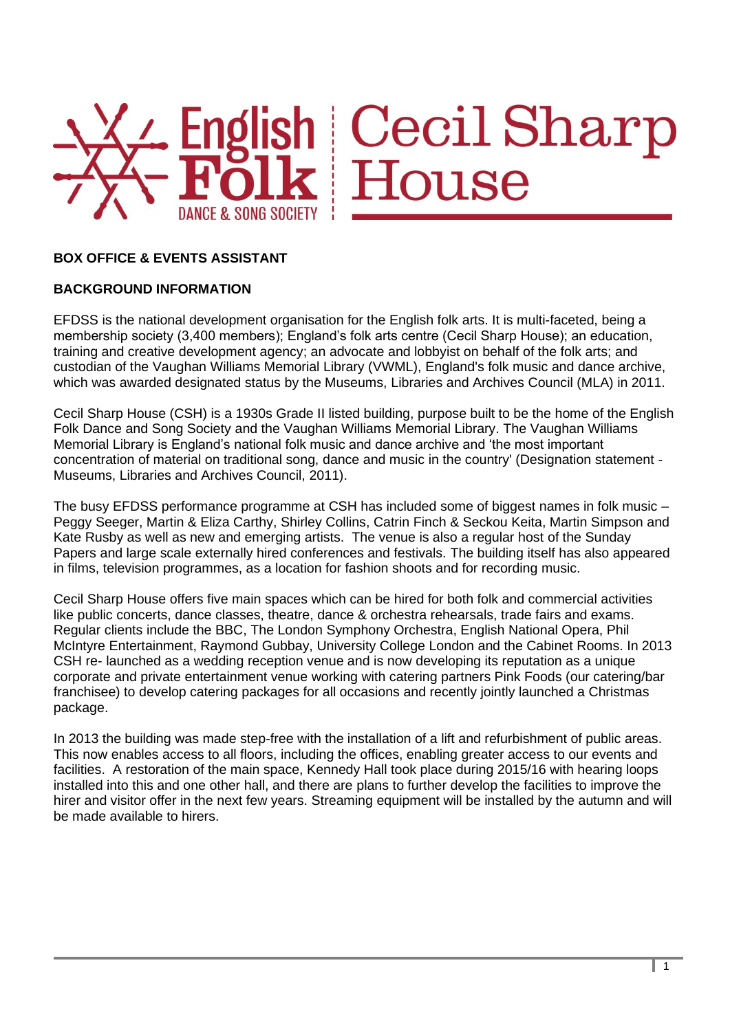

# 4 English Cecil Sharp<br>
<del>- Folk</del> House

# **BOX OFFICE & EVENTS ASSISTANT**

# **BACKGROUND INFORMATION**

EFDSS is the national development organisation for the English folk arts. It is multi-faceted, being a membership society (3,400 members); England's folk arts centre (Cecil Sharp House); an education, training and creative development agency; an advocate and lobbyist on behalf of the folk arts; and custodian of the Vaughan Williams Memorial Library (VWML), England's folk music and dance archive, which was awarded designated status by the Museums, Libraries and Archives Council (MLA) in 2011.

Cecil Sharp House (CSH) is a 1930s Grade II listed building, purpose built to be the home of the English Folk Dance and Song Society and the Vaughan Williams Memorial Library. The Vaughan Williams Memorial Library is England's national folk music and dance archive and 'the most important concentration of material on traditional song, dance and music in the country' (Designation statement - Museums, Libraries and Archives Council, 2011).

The busy EFDSS performance programme at CSH has included some of biggest names in folk music – Peggy Seeger, Martin & Eliza Carthy, Shirley Collins, Catrin Finch & Seckou Keita, Martin Simpson and Kate Rusby as well as new and emerging artists. The venue is also a regular host of the Sunday Papers and large scale externally hired conferences and festivals. The building itself has also appeared in films, television programmes, as a location for fashion shoots and for recording music.

Cecil Sharp House offers five main spaces which can be hired for both folk and commercial activities like public concerts, dance classes, theatre, dance & orchestra rehearsals, trade fairs and exams. Regular clients include the BBC, The London Symphony Orchestra, English National Opera, Phil McIntyre Entertainment, Raymond Gubbay, University College London and the Cabinet Rooms. In 2013 CSH re- launched as a wedding reception venue and is now developing its reputation as a unique corporate and private entertainment venue working with catering partners Pink Foods (our catering/bar franchisee) to develop catering packages for all occasions and recently jointly launched a Christmas package.

In 2013 the building was made step-free with the installation of a lift and refurbishment of public areas. This now enables access to all floors, including the offices, enabling greater access to our events and facilities. A restoration of the main space, Kennedy Hall took place during 2015/16 with hearing loops installed into this and one other hall, and there are plans to further develop the facilities to improve the hirer and visitor offer in the next few years. Streaming equipment will be installed by the autumn and will be made available to hirers.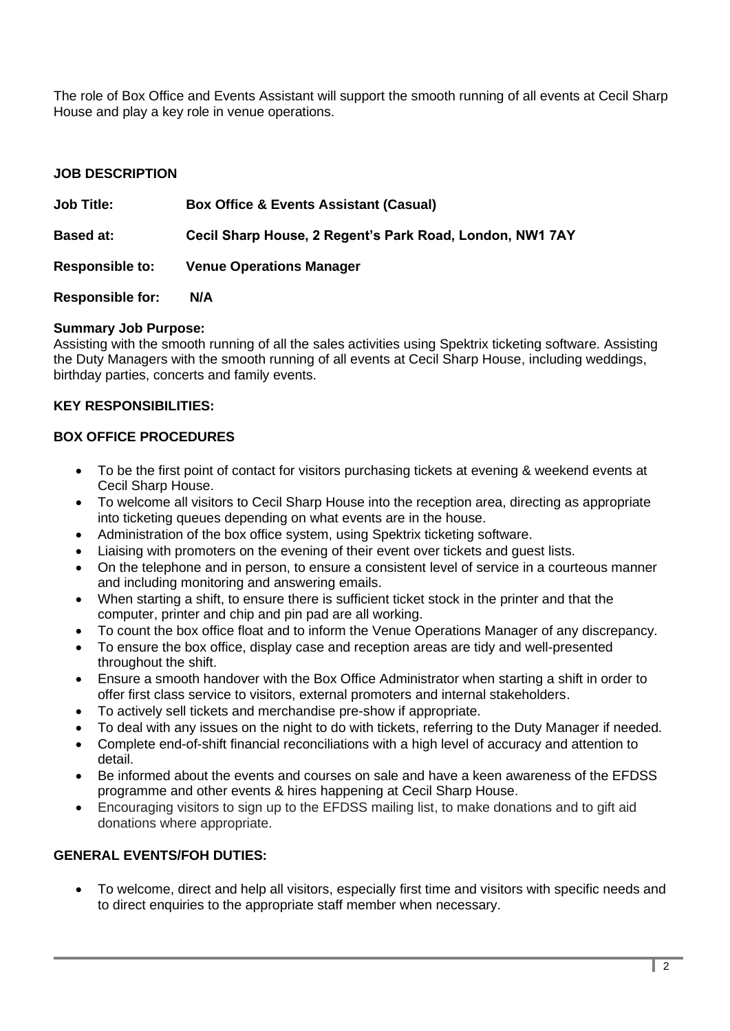The role of Box Office and Events Assistant will support the smooth running of all events at Cecil Sharp House and play a key role in venue operations.

### **JOB DESCRIPTION**

| <b>Job Title:</b>       | <b>Box Office &amp; Events Assistant (Casual)</b>        |
|-------------------------|----------------------------------------------------------|
| <b>Based at:</b>        | Cecil Sharp House, 2 Regent's Park Road, London, NW1 7AY |
| <b>Responsible to:</b>  | <b>Venue Operations Manager</b>                          |
| <b>Responsible for:</b> | N/A                                                      |

# **Summary Job Purpose:**

Assisting with the smooth running of all the sales activities using Spektrix ticketing software. Assisting the Duty Managers with the smooth running of all events at Cecil Sharp House, including weddings, birthday parties, concerts and family events.

#### **KEY RESPONSIBILITIES:**

#### **BOX OFFICE PROCEDURES**

- To be the first point of contact for visitors purchasing tickets at evening & weekend events at Cecil Sharp House.
- To welcome all visitors to Cecil Sharp House into the reception area, directing as appropriate into ticketing queues depending on what events are in the house.
- Administration of the box office system, using Spektrix ticketing software.
- Liaising with promoters on the evening of their event over tickets and guest lists.
- On the telephone and in person, to ensure a consistent level of service in a courteous manner and including monitoring and answering emails.
- When starting a shift, to ensure there is sufficient ticket stock in the printer and that the computer, printer and chip and pin pad are all working.
- To count the box office float and to inform the Venue Operations Manager of any discrepancy.
- To ensure the box office, display case and reception areas are tidy and well-presented throughout the shift.
- Ensure a smooth handover with the Box Office Administrator when starting a shift in order to offer first class service to visitors, external promoters and internal stakeholders.
- To actively sell tickets and merchandise pre-show if appropriate.
- To deal with any issues on the night to do with tickets, referring to the Duty Manager if needed.
- Complete end-of-shift financial reconciliations with a high level of accuracy and attention to detail.
- Be informed about the events and courses on sale and have a keen awareness of the EFDSS programme and other events & hires happening at Cecil Sharp House.
- Encouraging visitors to sign up to the EFDSS mailing list, to make donations and to gift aid donations where appropriate.

# **GENERAL EVENTS/FOH DUTIES:**

• To welcome, direct and help all visitors, especially first time and visitors with specific needs and to direct enquiries to the appropriate staff member when necessary.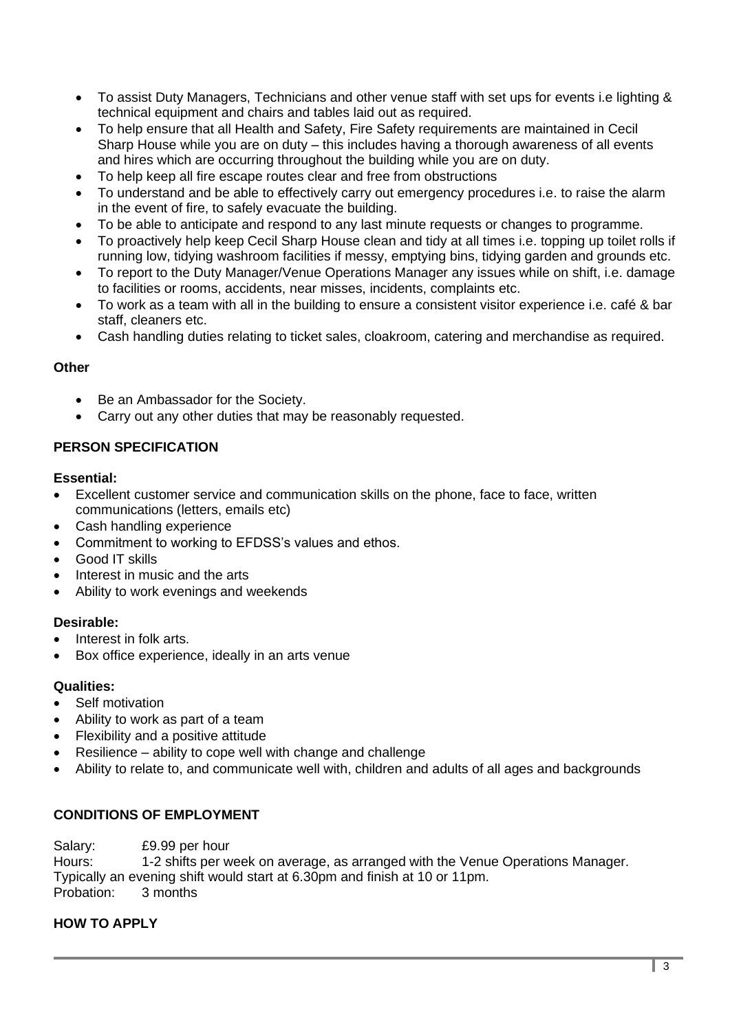- To assist Duty Managers, Technicians and other venue staff with set ups for events i.e lighting & technical equipment and chairs and tables laid out as required.
- To help ensure that all Health and Safety, Fire Safety requirements are maintained in Cecil Sharp House while you are on duty – this includes having a thorough awareness of all events and hires which are occurring throughout the building while you are on duty.
- To help keep all fire escape routes clear and free from obstructions
- To understand and be able to effectively carry out emergency procedures i.e. to raise the alarm in the event of fire, to safely evacuate the building.
- To be able to anticipate and respond to any last minute requests or changes to programme.
- To proactively help keep Cecil Sharp House clean and tidy at all times i.e. topping up toilet rolls if running low, tidying washroom facilities if messy, emptying bins, tidying garden and grounds etc.
- To report to the Duty Manager/Venue Operations Manager any issues while on shift, i.e. damage to facilities or rooms, accidents, near misses, incidents, complaints etc.
- To work as a team with all in the building to ensure a consistent visitor experience i.e. café & bar staff, cleaners etc.
- Cash handling duties relating to ticket sales, cloakroom, catering and merchandise as required.

#### **Other**

- Be an Ambassador for the Society.
- Carry out any other duties that may be reasonably requested.

# **PERSON SPECIFICATION**

#### **Essential:**

- Excellent customer service and communication skills on the phone, face to face, written communications (letters, emails etc)
- Cash handling experience
- Commitment to working to EFDSS's values and ethos.
- Good IT skills
- Interest in music and the arts
- Ability to work evenings and weekends

#### **Desirable:**

- Interest in folk arts.
- Box office experience, ideally in an arts venue

#### **Qualities:**

- Self motivation
- Ability to work as part of a team
- Flexibility and a positive attitude
- Resilience ability to cope well with change and challenge
- Ability to relate to, and communicate well with, children and adults of all ages and backgrounds

# **CONDITIONS OF EMPLOYMENT**

Salary: £9.99 per hour

Hours: 1-2 shifts per week on average, as arranged with the Venue Operations Manager. Typically an evening shift would start at 6.30pm and finish at 10 or 11pm. Probation:

# **HOW TO APPLY**